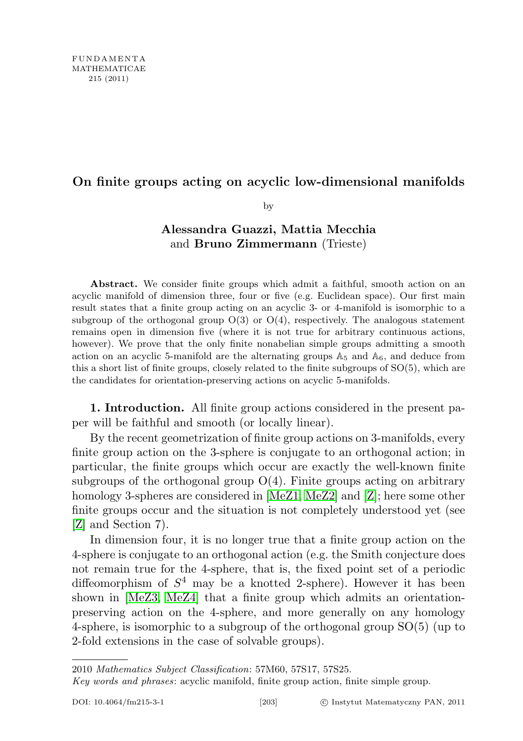## On finite groups acting on acyclic low-dimensional manifolds

by

## Alessandra Guazzi, Mattia Mecchia and Bruno Zimmermann (Trieste)

Abstract. We consider finite groups which admit a faithful, smooth action on an acyclic manifold of dimension three, four or five (e.g. Euclidean space). Our first main result states that a finite group acting on an acyclic 3- or 4-manifold is isomorphic to a subgroup of the orthogonal group  $O(3)$  or  $O(4)$ , respectively. The analogous statement remains open in dimension five (where it is not true for arbitrary continuous actions, however). We prove that the only finite nonabelian simple groups admitting a smooth action on an acyclic 5-manifold are the alternating groups  $A_5$  and  $A_6$ , and deduce from this a short list of finite groups, closely related to the finite subgroups of SO(5), which are the candidates for orientation-preserving actions on acyclic 5-manifolds.

1. Introduction. All finite group actions considered in the present paper will be faithful and smooth (or locally linear).

By the recent geometrization of finite group actions on 3-manifolds, every finite group action on the 3-sphere is conjugate to an orthogonal action; in particular, the finite groups which occur are exactly the well-known finite subgroups of the orthogonal group  $O(4)$ . Finite groups acting on arbitrary homology 3-spheres are considered in [\[MeZ1,](#page-13-0) [MeZ2\]](#page-13-1) and [\[Z\]](#page-14-0); here some other finite groups occur and the situation is not completely understood yet (see [\[Z\]](#page-14-0) and Section 7).

In dimension four, it is no longer true that a finite group action on the 4-sphere is conjugate to an orthogonal action (e.g. the Smith conjecture does not remain true for the 4-sphere, that is, the fixed point set of a periodic diffeomorphism of  $S<sup>4</sup>$  may be a knotted 2-sphere). However it has been shown in [\[MeZ3,](#page-14-1) [MeZ4\]](#page-14-2) that a finite group which admits an orientationpreserving action on the 4-sphere, and more generally on any homology 4-sphere, is isomorphic to a subgroup of the orthogonal group SO(5) (up to 2-fold extensions in the case of solvable groups).

<sup>2010</sup> Mathematics Subject Classification: 57M60, 57S17, 57S25.

Key words and phrases: acyclic manifold, finite group action, finite simple group.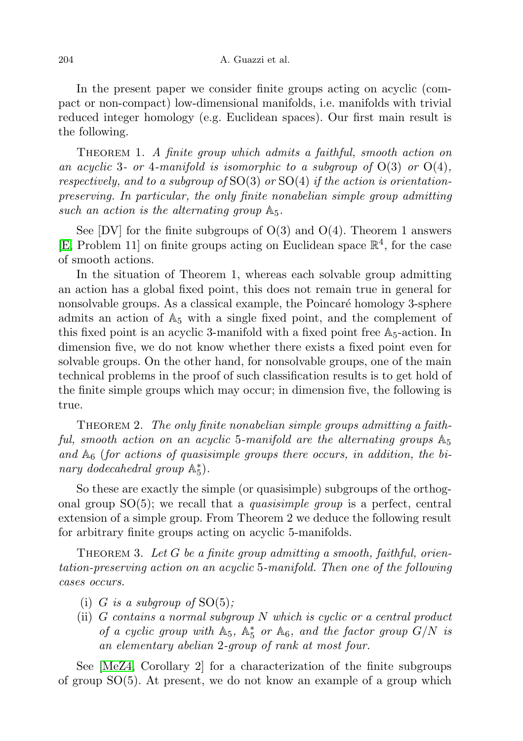In the present paper we consider finite groups acting on acyclic (compact or non-compact) low-dimensional manifolds, i.e. manifolds with trivial reduced integer homology (e.g. Euclidean spaces). Our first main result is the following.

THEOREM 1. A finite group which admits a faithful, smooth action on an acyclic 3- or 4-manifold is isomorphic to a subgroup of  $O(3)$  or  $O(4)$ , respectively, and to a subgroup of  $SO(3)$  or  $SO(4)$  if the action is orientationpreserving. In particular, the only finite nonabelian simple group admitting such an action is the alternating group  $\mathbb{A}_5$ .

See  $[DV]$  for the finite subgroups of  $O(3)$  and  $O(4)$ . Theorem 1 answers [\[E,](#page-13-2) Problem 11] on finite groups acting on Euclidean space  $\mathbb{R}^4$ , for the case of smooth actions.

In the situation of Theorem 1, whereas each solvable group admitting an action has a global fixed point, this does not remain true in general for nonsolvable groups. As a classical example, the Poincaré homology 3-sphere admits an action of  $A_5$  with a single fixed point, and the complement of this fixed point is an acyclic 3-manifold with a fixed point free  $\mathbb{A}_5$ -action. In dimension five, we do not know whether there exists a fixed point even for solvable groups. On the other hand, for nonsolvable groups, one of the main technical problems in the proof of such classification results is to get hold of the finite simple groups which may occur; in dimension five, the following is true.

THEOREM 2. The only finite nonabelian simple groups admitting a faithful, smooth action on an acyclic 5-manifold are the alternating groups  $A_5$ and  $\mathbb{A}_6$  (for actions of quasisimple groups there occurs, in addition, the binary dodecahedral group  $\mathbb{A}_{5}^{*}$ ).

So these are exactly the simple (or quasisimple) subgroups of the orthogonal group  $SO(5)$ ; we recall that a *quasisimple group* is a perfect, central extension of a simple group. From Theorem 2 we deduce the following result for arbitrary finite groups acting on acyclic 5-manifolds.

THEOREM 3. Let  $G$  be a finite group admitting a smooth, faithful, orientation-preserving action on an acyclic 5-manifold. Then one of the following cases occurs.

- (i) G is a subgroup of  $SO(5)$ ;
- (ii) G contains a normal subgroup N which is cyclic or a central product of a cyclic group with  $\mathbb{A}_5$ ,  $\mathbb{A}_5^*$  or  $\mathbb{A}_6$ , and the factor group  $G/N$  is an elementary abelian 2-group of rank at most four.

See [\[MeZ4,](#page-14-2) Corollary 2] for a characterization of the finite subgroups of group  $SO(5)$ . At present, we do not know an example of a group which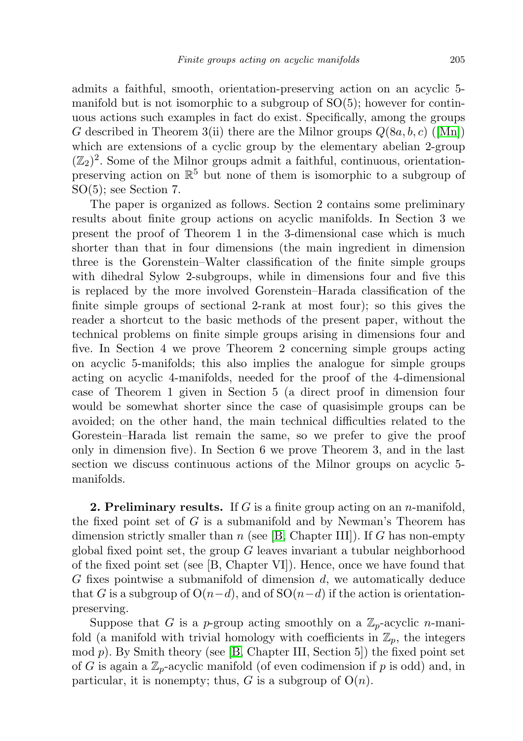admits a faithful, smooth, orientation-preserving action on an acyclic 5 manifold but is not isomorphic to a subgroup of  $SO(5)$ ; however for continuous actions such examples in fact do exist. Specifically, among the groups G described in Theorem 3(ii) there are the Milnor groups  $Q(8a, b, c)$  ([\[Mn\]](#page-14-3)) which are extensions of a cyclic group by the elementary abelian 2-group  $(\mathbb{Z}_2)^2$ . Some of the Milnor groups admit a faithful, continuous, orientationpreserving action on  $\mathbb{R}^5$  but none of them is isomorphic to a subgroup of SO(5); see Section 7.

The paper is organized as follows. Section 2 contains some preliminary results about finite group actions on acyclic manifolds. In Section 3 we present the proof of Theorem 1 in the 3-dimensional case which is much shorter than that in four dimensions (the main ingredient in dimension three is the Gorenstein–Walter classification of the finite simple groups with dihedral Sylow 2-subgroups, while in dimensions four and five this is replaced by the more involved Gorenstein–Harada classification of the finite simple groups of sectional 2-rank at most four); so this gives the reader a shortcut to the basic methods of the present paper, without the technical problems on finite simple groups arising in dimensions four and five. In Section 4 we prove Theorem 2 concerning simple groups acting on acyclic 5-manifolds; this also implies the analogue for simple groups acting on acyclic 4-manifolds, needed for the proof of the 4-dimensional case of Theorem 1 given in Section 5 (a direct proof in dimension four would be somewhat shorter since the case of quasisimple groups can be avoided; on the other hand, the main technical difficulties related to the Gorestein–Harada list remain the same, so we prefer to give the proof only in dimension five). In Section 6 we prove Theorem 3, and in the last section we discuss continuous actions of the Milnor groups on acyclic 5 manifolds.

**2. Preliminary results.** If G is a finite group acting on an *n*-manifold, the fixed point set of  $G$  is a submanifold and by Newman's Theorem has dimension strictly smaller than n (see  $[B, Chapter III]$  $[B, Chapter III]$ ). If G has non-empty global fixed point set, the group  $G$  leaves invariant a tubular neighborhood of the fixed point set (see [B, Chapter VI]). Hence, once we have found that G fixes pointwise a submanifold of dimension  $d$ , we automatically deduce that G is a subgroup of  $O(n-d)$ , and of  $SO(n-d)$  if the action is orientationpreserving.

Suppose that G is a p-group acting smoothly on a  $\mathbb{Z}_p$ -acyclic n-manifold (a manifold with trivial homology with coefficients in  $\mathbb{Z}_p$ , the integers  $\mod p$ . By Smith theory (see [\[B,](#page-13-3) Chapter III, Section 5]) the fixed point set of G is again a  $\mathbb{Z}_p$ -acyclic manifold (of even codimension if p is odd) and, in particular, it is nonempty; thus, G is a subgroup of  $O(n)$ .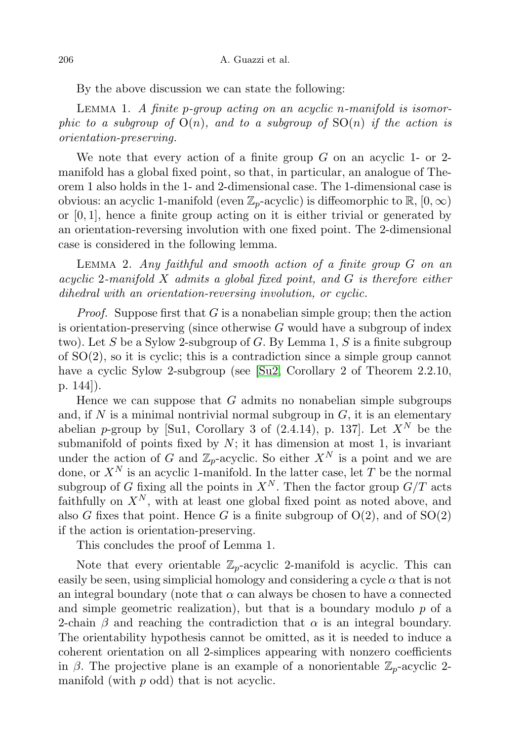By the above discussion we can state the following:

LEMMA 1. A finite p-group acting on an acyclic n-manifold is isomorphic to a subgroup of  $O(n)$ , and to a subgroup of  $SO(n)$  if the action is orientation-preserving.

We note that every action of a finite group  $G$  on an acyclic 1- or 2manifold has a global fixed point, so that, in particular, an analogue of Theorem 1 also holds in the 1- and 2-dimensional case. The 1-dimensional case is obvious: an acyclic 1-manifold (even  $\mathbb{Z}_p$ -acyclic) is diffeomorphic to  $\mathbb{R}$ ,  $[0,\infty)$ or [0, 1], hence a finite group acting on it is either trivial or generated by an orientation-reversing involution with one fixed point. The 2-dimensional case is considered in the following lemma.

LEMMA 2. Any faithful and smooth action of a finite group  $G$  on an acyclic 2-manifold X admits a global fixed point, and G is therefore either dihedral with an orientation-reversing involution, or cyclic.

*Proof.* Suppose first that  $G$  is a nonabelian simple group; then the action is orientation-preserving (since otherwise  $G$  would have a subgroup of index two). Let S be a Sylow 2-subgroup of G. By Lemma 1, S is a finite subgroup of SO(2), so it is cyclic; this is a contradiction since a simple group cannot have a cyclic Sylow 2-subgroup (see [\[Su2,](#page-14-4) Corollary 2 of Theorem 2.2.10, p. 144]).

Hence we can suppose that  $G$  admits no nonabelian simple subgroups and, if  $N$  is a minimal nontrivial normal subgroup in  $G$ , it is an elementary abelian p-group by [Su1, Corollary 3 of (2.4.14), p. 137]. Let  $X^N$  be the submanifold of points fixed by  $N$ ; it has dimension at most 1, is invariant under the action of G and  $\mathbb{Z}_p$ -acyclic. So either  $X^N$  is a point and we are done, or  $X^N$  is an acyclic 1-manifold. In the latter case, let T be the normal subgroup of G fixing all the points in  $X^N$ . Then the factor group  $G/T$  acts faithfully on  $X^N$ , with at least one global fixed point as noted above, and also G fixes that point. Hence G is a finite subgroup of  $O(2)$ , and of  $SO(2)$ if the action is orientation-preserving.

This concludes the proof of Lemma 1.

Note that every orientable  $\mathbb{Z}_p$ -acyclic 2-manifold is acyclic. This can easily be seen, using simplicial homology and considering a cycle  $\alpha$  that is not an integral boundary (note that  $\alpha$  can always be chosen to have a connected and simple geometric realization), but that is a boundary modulo  $p$  of a 2-chain  $\beta$  and reaching the contradiction that  $\alpha$  is an integral boundary. The orientability hypothesis cannot be omitted, as it is needed to induce a coherent orientation on all 2-simplices appearing with nonzero coefficients in  $\beta$ . The projective plane is an example of a nonorientable  $\mathbb{Z}_p$ -acyclic 2manifold (with p odd) that is not acyclic.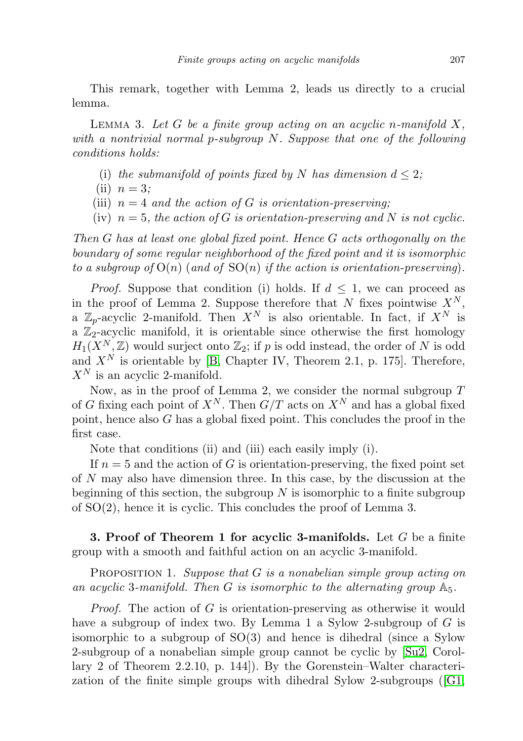This remark, together with Lemma 2, leads us directly to a crucial lemma.

LEMMA 3. Let  $G$  be a finite group acting on an acyclic n-manifold  $X$ , with a nontrivial normal p-subgroup N. Suppose that one of the following conditions holds:

- (i) the submanifold of points fixed by N has dimension  $d \leq 2$ ;
- (ii)  $n = 3$ ;
- (iii)  $n = 4$  and the action of G is orientation-preserving:
- (iv)  $n = 5$ , the action of G is orientation-preserving and N is not cyclic.

Then G has at least one global fixed point. Hence G acts orthogonally on the boundary of some regular neighborhood of the fixed point and it is isomorphic to a subgroup of  $O(n)$  (and of  $SO(n)$  if the action is orientation-preserving).

*Proof.* Suppose that condition (i) holds. If  $d \leq 1$ , we can proceed as in the proof of Lemma 2. Suppose therefore that N fixes pointwise  $X^N$ , a  $\mathbb{Z}_p$ -acyclic 2-manifold. Then  $X^N$  is also orientable. In fact, if  $X^N$  is a  $\mathbb{Z}_2$ -acyclic manifold, it is orientable since otherwise the first homology  $H_1(X^N, \mathbb{Z})$  would surject onto  $\mathbb{Z}_2$ ; if p is odd instead, the order of N is odd and  $X^N$  is orientable by [\[B,](#page-13-3) Chapter IV, Theorem 2.1, p. 175]. Therefore,  $X^N$  is an acyclic 2-manifold.

Now, as in the proof of Lemma 2, we consider the normal subgroup  $T$ of G fixing each point of  $X^N$ . Then  $G/T$  acts on  $X^N$  and has a global fixed point, hence also G has a global fixed point. This concludes the proof in the first case.

Note that conditions (ii) and (iii) each easily imply (i).

If  $n = 5$  and the action of G is orientation-preserving, the fixed point set of N may also have dimension three. In this case, by the discussion at the beginning of this section, the subgroup  $N$  is isomorphic to a finite subgroup of SO(2), hence it is cyclic. This concludes the proof of Lemma 3.

**3. Proof of Theorem 1 for acyclic 3-manifolds.** Let  $G$  be a finite group with a smooth and faithful action on an acyclic 3-manifold.

**PROPOSITION 1.** Suppose that  $G$  is a nonabelian simple group acting on an acyclic 3-manifold. Then G is isomorphic to the alternating group  $\mathbb{A}_5$ .

*Proof.* The action of G is orientation-preserving as otherwise it would have a subgroup of index two. By Lemma 1 a Sylow 2-subgroup of G is isomorphic to a subgroup of SO(3) and hence is dihedral (since a Sylow 2-subgroup of a nonabelian simple group cannot be cyclic by [\[Su2,](#page-14-4) Corollary 2 of Theorem 2.2.10, p. 144]). By the Gorenstein–Walter characterization of the finite simple groups with dihedral Sylow 2-subgroups ([\[G1,](#page-13-4)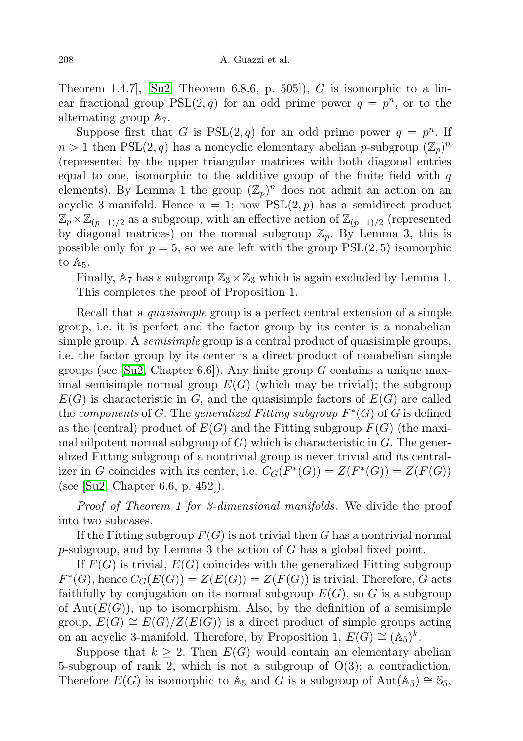Theorem 1.4.7, [\[Su2,](#page-14-4) Theorem 6.8.6, p. 505]), G is isomorphic to a linear fractional group  $PSL(2, q)$  for an odd prime power  $q = p^n$ , or to the alternating group A7.

Suppose first that G is  $PSL(2,q)$  for an odd prime power  $q = p^n$ . If  $n > 1$  then PSL $(2, q)$  has a noncyclic elementary abelian p-subgroup  $(\mathbb{Z}_p)^n$ (represented by the upper triangular matrices with both diagonal entries equal to one, isomorphic to the additive group of the finite field with  $q$ elements). By Lemma 1 the group  $(\mathbb{Z}_p)^n$  does not admit an action on an acyclic 3-manifold. Hence  $n = 1$ ; now  $PSL(2, p)$  has a semidirect product  $\mathbb{Z}_p \rtimes \mathbb{Z}_{(p-1)/2}$  as a subgroup, with an effective action of  $\mathbb{Z}_{(p-1)/2}$  (represented by diagonal matrices) on the normal subgroup  $\mathbb{Z}_p$ . By Lemma 3, this is possible only for  $p = 5$ , so we are left with the group  $PSL(2, 5)$  isomorphic to  $A_5$ .

Finally,  $A_7$  has a subgroup  $\mathbb{Z}_3 \times \mathbb{Z}_3$  which is again excluded by Lemma 1. This completes the proof of Proposition 1.

Recall that a *quasisimple* group is a perfect central extension of a simple group, i.e. it is perfect and the factor group by its center is a nonabelian simple group. A *semisimple* group is a central product of quasisimple groups, i.e. the factor group by its center is a direct product of nonabelian simple groups (see [\[Su2,](#page-14-4) Chapter 6.6]). Any finite group  $G$  contains a unique maximal semisimple normal group  $E(G)$  (which may be trivial); the subgroup  $E(G)$  is characteristic in G, and the quasisimple factors of  $E(G)$  are called the components of G. The generalized Fitting subgroup  $F^*(G)$  of G is defined as the (central) product of  $E(G)$  and the Fitting subgroup  $F(G)$  (the maximal nilpotent normal subgroup of  $G$ ) which is characteristic in  $G$ . The generalized Fitting subgroup of a nontrivial group is never trivial and its centralizer in G coincides with its center, i.e.  $C_G(F^*(G)) = Z(F^*(G)) = Z(F(G))$ (see [\[Su2,](#page-14-4) Chapter 6.6, p. 452]).

Proof of Theorem 1 for 3-dimensional manifolds. We divide the proof into two subcases.

If the Fitting subgroup  $F(G)$  is not trivial then G has a nontrivial normal p-subgroup, and by Lemma 3 the action of G has a global fixed point.

If  $F(G)$  is trivial,  $E(G)$  coincides with the generalized Fitting subgroup  $F^*(G)$ , hence  $C_G(E(G)) = Z(E(G)) = Z(F(G))$  is trivial. Therefore, G acts faithfully by conjugation on its normal subgroup  $E(G)$ , so G is a subgroup of  $Aut(E(G))$ , up to isomorphism. Also, by the definition of a semisimple group,  $E(G) \cong E(G)/Z(E(G))$  is a direct product of simple groups acting on an acyclic 3-manifold. Therefore, by Proposition 1,  $E(G) \cong (\mathbb{A}_5)^k$ .

Suppose that  $k \geq 2$ . Then  $E(G)$  would contain an elementary abelian 5-subgroup of rank 2, which is not a subgroup of  $O(3)$ ; a contradiction. Therefore  $E(G)$  is isomorphic to A<sub>5</sub> and G is a subgroup of Aut(A<sub>5</sub>) ≅  $\mathbb{S}_5$ ,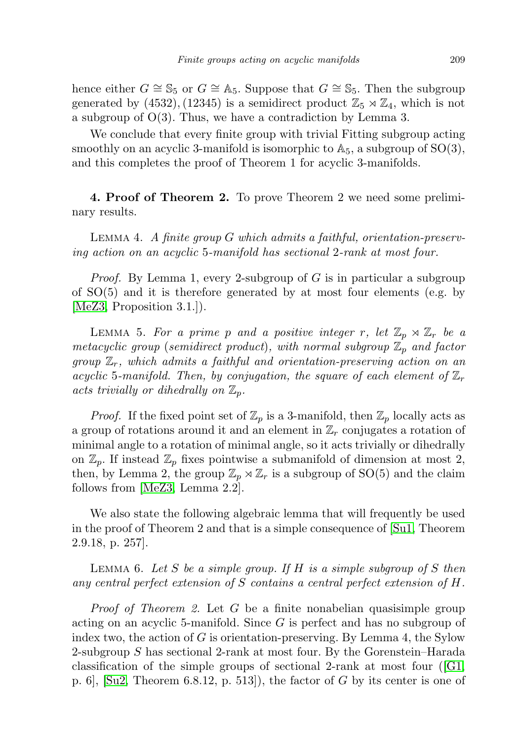hence either  $G \cong \mathbb{S}_5$  or  $G \cong \mathbb{A}_5$ . Suppose that  $G \cong \mathbb{S}_5$ . Then the subgroup generated by (4532), (12345) is a semidirect product  $\mathbb{Z}_5 \rtimes \mathbb{Z}_4$ , which is not a subgroup of O(3). Thus, we have a contradiction by Lemma 3.

We conclude that every finite group with trivial Fitting subgroup acting smoothly on an acyclic 3-manifold is isomorphic to  $\mathbb{A}_5$ , a subgroup of  $SO(3)$ , and this completes the proof of Theorem 1 for acyclic 3-manifolds.

4. Proof of Theorem 2. To prove Theorem 2 we need some preliminary results.

Lemma 4. A finite group G which admits a faithful, orientation-preserving action on an acyclic 5-manifold has sectional 2-rank at most four.

*Proof.* By Lemma 1, every 2-subgroup of  $G$  is in particular a subgroup of SO(5) and it is therefore generated by at most four elements (e.g. by [\[MeZ3,](#page-14-1) Proposition 3.1.]).

LEMMA 5. For a prime p and a positive integer r, let  $\mathbb{Z}_p \rtimes \mathbb{Z}_r$  be a metacyclic group (semidirect product), with normal subgroup  $\mathbb{Z}_p$  and factor group  $\mathbb{Z}_r$ , which admits a faithful and orientation-preserving action on an acyclic 5-manifold. Then, by conjugation, the square of each element of  $\mathbb{Z}_r$ acts trivially or dihedrally on  $\mathbb{Z}_p$ .

*Proof.* If the fixed point set of  $\mathbb{Z}_p$  is a 3-manifold, then  $\mathbb{Z}_p$  locally acts as a group of rotations around it and an element in  $\mathbb{Z}_r$  conjugates a rotation of minimal angle to a rotation of minimal angle, so it acts trivially or dihedrally on  $\mathbb{Z}_p$ . If instead  $\mathbb{Z}_p$  fixes pointwise a submanifold of dimension at most 2, then, by Lemma 2, the group  $\mathbb{Z}_p \rtimes \mathbb{Z}_r$  is a subgroup of SO(5) and the claim follows from [\[MeZ3,](#page-14-1) Lemma 2.2].

We also state the following algebraic lemma that will frequently be used in the proof of Theorem 2 and that is a simple consequence of [\[Su1,](#page-14-5) Theorem 2.9.18, p. 257].

LEMMA 6. Let S be a simple group. If H is a simple subgroup of S then any central perfect extension of S contains a central perfect extension of H.

*Proof of Theorem 2.* Let  $G$  be a finite nonabelian quasisimple group acting on an acyclic 5-manifold. Since G is perfect and has no subgroup of index two, the action of  $G$  is orientation-preserving. By Lemma 4, the Sylow 2-subgroup S has sectional 2-rank at most four. By the Gorenstein–Harada classification of the simple groups of sectional 2-rank at most four  $([G],$ p. 6,  $\lbrack \text{Su2, Theorem 6.8.12, p. 513} \rbrack$ , the factor of G by its center is one of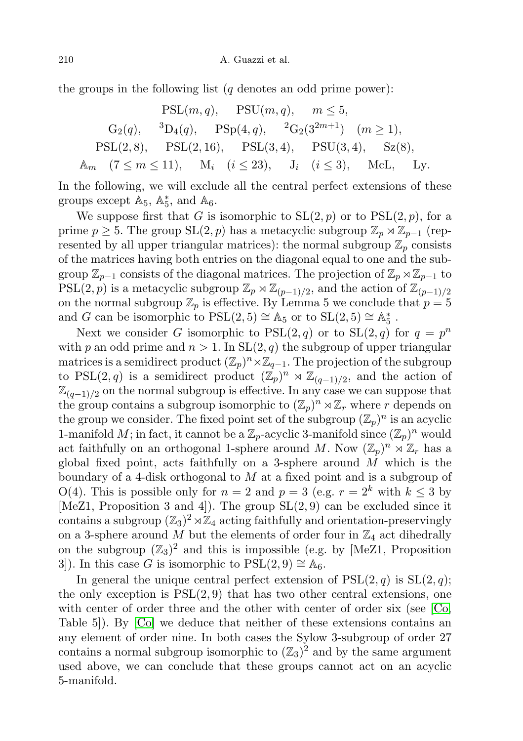the groups in the following list  $(q \text{ denotes an odd prime power})$ :

$$
\begin{array}{lll}\n\text{PSL}(m, q), & \text{PSU}(m, q), & m \leq 5, \\
\text{G}_2(q), & ^3\text{D}_4(q), & \text{PSp}(4, q), & ^2\text{G}_2(3^{2m+1}) \quad (m \geq 1), \\
\text{PSL}(2, 8), & \text{PSL}(2, 16), & \text{PSL}(3, 4), & \text{PSU}(3, 4), & \text{Sz}(8), \\
\mathbb{A}_m \quad (7 \leq m \leq 11), & \mathbf{M}_i \quad (i \leq 23), & \mathbf{J}_i \quad (i \leq 3), & \text{McL}, & \text{Ly}.\n\end{array}
$$

In the following, we will exclude all the central perfect extensions of these groups except  $\mathbb{A}_5$ ,  $\mathbb{A}_5^*$ , and  $\mathbb{A}_6$ .

We suppose first that G is isomorphic to  $SL(2, p)$  or to  $PSL(2, p)$ , for a prime  $p \geq 5$ . The group SL(2, p) has a metacyclic subgroup  $\mathbb{Z}_p \rtimes \mathbb{Z}_{p-1}$  (represented by all upper triangular matrices): the normal subgroup  $\mathbb{Z}_p$  consists of the matrices having both entries on the diagonal equal to one and the subgroup  $\mathbb{Z}_{p-1}$  consists of the diagonal matrices. The projection of  $\mathbb{Z}_p \rtimes \mathbb{Z}_{p-1}$  to PSL(2, p) is a metacyclic subgroup  $\mathbb{Z}_p \rtimes \mathbb{Z}_{(p-1)/2}$ , and the action of  $\mathbb{Z}_{(p-1)/2}$ on the normal subgroup  $\mathbb{Z}_p$  is effective. By Lemma 5 we conclude that  $p = 5$ and G can be isomorphic to  $PSL(2,5) \cong \mathbb{A}_5$  or to  $SL(2,5) \cong \mathbb{A}_5^*$ .

Next we consider G isomorphic to  $PSL(2,q)$  or to  $SL(2,q)$  for  $q = p^n$ with p an odd prime and  $n > 1$ . In  $SL(2, q)$  the subgroup of upper triangular matrices is a semidirect product  $(\mathbb{Z}_p)^n \rtimes \mathbb{Z}_{q-1}$ . The projection of the subgroup to PSL(2,q) is a semidirect product  $(\mathbb{Z}_p)^n \rtimes \mathbb{Z}_{(q-1)/2}$ , and the action of  $\mathbb{Z}_{(q-1)/2}$  on the normal subgroup is effective. In any case we can suppose that the group contains a subgroup isomorphic to  $(\mathbb{Z}_p)^n \rtimes \mathbb{Z}_r$  where r depends on the group we consider. The fixed point set of the subgroup  $(\mathbb{Z}_p)^n$  is an acyclic 1-manifold M; in fact, it cannot be a  $\mathbb{Z}_p$ -acyclic 3-manifold since  $(\mathbb{Z}_p)^n$  would act faithfully on an orthogonal 1-sphere around M. Now  $(\mathbb{Z}_p)^n \rtimes \mathbb{Z}_r$  has a global fixed point, acts faithfully on a 3-sphere around  $M$  which is the boundary of a 4-disk orthogonal to  $M$  at a fixed point and is a subgroup of O(4). This is possible only for  $n = 2$  and  $p = 3$  (e.g.  $r = 2^k$  with  $k \le 3$  by [MeZ1, Proposition 3 and 4]). The group  $SL(2,9)$  can be excluded since it contains a subgroup  $(\mathbb{Z}_3)^2 \rtimes \mathbb{Z}_4$  acting faithfully and orientation-preservingly on a 3-sphere around  $M$  but the elements of order four in  $\mathbb{Z}_4$  act dihedrally on the subgroup  $(\mathbb{Z}_3)^2$  and this is impossible (e.g. by [MeZ1, Proposition 3]). In this case G is isomorphic to  $PSL(2,9) \cong \mathbb{A}_6$ .

In general the unique central perfect extension of  $PSL(2, q)$  is  $SL(2, q)$ ; the only exception is  $PSL(2,9)$  that has two other central extensions, one with center of order three and the other with center of order six (see [\[Co,](#page-13-5) Table 5]). By [\[Co\]](#page-13-5) we deduce that neither of these extensions contains an any element of order nine. In both cases the Sylow 3-subgroup of order 27 contains a normal subgroup isomorphic to  $(\mathbb{Z}_3)^2$  and by the same argument used above, we can conclude that these groups cannot act on an acyclic 5-manifold.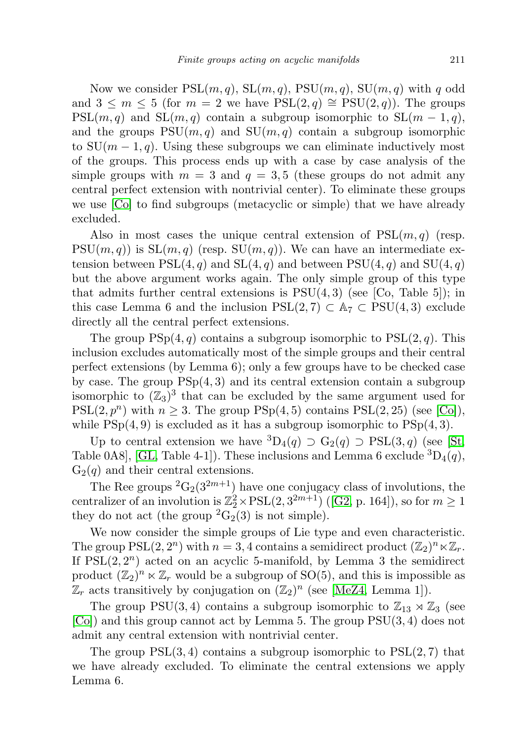Now we consider  $PSL(m, q)$ ,  $SL(m, q)$ ,  $PSU(m, q)$ ,  $SU(m, q)$  with q odd and  $3 \leq m \leq 5$  (for  $m = 2$  we have  $PSL(2,q) \cong PSU(2,q)$ ). The groups  $PSL(m, q)$  and  $SL(m, q)$  contain a subgroup isomorphic to  $SL(m - 1, q)$ , and the groups  $PSU(m, q)$  and  $SU(m, q)$  contain a subgroup isomorphic to  $SU(m-1, q)$ . Using these subgroups we can eliminate inductively most of the groups. This process ends up with a case by case analysis of the simple groups with  $m = 3$  and  $q = 3, 5$  (these groups do not admit any central perfect extension with nontrivial center). To eliminate these groups we use [\[Co\]](#page-13-5) to find subgroups (metacyclic or simple) that we have already excluded.

Also in most cases the unique central extension of  $PSL(m, q)$  (resp.  $PSU(m, q)$  is  $SL(m, q)$  (resp.  $SU(m, q)$ ). We can have an intermediate extension between  $PSL(4, q)$  and  $SL(4, q)$  and between  $PSU(4, q)$  and  $SU(4, q)$ but the above argument works again. The only simple group of this type that admits further central extensions is  $PSU(4,3)$  (see [Co, Table 5]); in this case Lemma 6 and the inclusion  $PSL(2, 7) \subset \mathbb{A}_7 \subset PSU(4, 3)$  exclude directly all the central perfect extensions.

The group  $PSp(4, q)$  contains a subgroup isomorphic to  $PSL(2, q)$ . This inclusion excludes automatically most of the simple groups and their central perfect extensions (by Lemma 6); only a few groups have to be checked case by case. The group  $PSp(4,3)$  and its central extension contain a subgroup isomorphic to  $(\mathbb{Z}_3)^3$  that can be excluded by the same argument used for  $PSL(2, p^n)$  with  $n \geq 3$ . The group  $PSp(4, 5)$  contains  $PSL(2, 25)$  (see [\[Co\]](#page-13-5)), while  $PSp(4, 9)$  is excluded as it has a subgroup isomorphic to  $PSp(4, 3)$ .

Up to central extension we have  ${}^{3}D_{4}(q) \supset G_{2}(q) \supset PSL(3, q)$  (see [\[St,](#page-14-6) Table 0A8], [\[GL,](#page-13-6) Table 4-1]). These inclusions and Lemma 6 exclude  ${}^{3}D_{4}(q)$ ,  $G_2(q)$  and their central extensions.

The Ree groups  ${}^{2}G_{2}(3^{2m+1})$  have one conjugacy class of involutions, the centralizer of an involution is  $\mathbb{Z}_2^2 \times \mathrm{PSL}(2, 3^{2m+1})$  ([\[G2,](#page-13-7) p. 164]), so for  $m \ge 1$ they do not act (the group  ${}^2G_2(3)$  is not simple).

We now consider the simple groups of Lie type and even characteristic. The group  $PSL(2, 2^n)$  with  $n = 3, 4$  contains a semidirect product  $(\mathbb{Z}_2)^n \ltimes \mathbb{Z}_r$ . If  $PSL(2, 2^n)$  acted on an acyclic 5-manifold, by Lemma 3 the semidirect product  $(\mathbb{Z}_2)^n \ltimes \mathbb{Z}_r$  would be a subgroup of SO(5), and this is impossible as  $\mathbb{Z}_r$  acts transitively by conjugation on  $(\mathbb{Z}_2)^n$  (see [\[MeZ4,](#page-14-2) Lemma 1]).

The group PSU(3,4) contains a subgroup isomorphic to  $\mathbb{Z}_{13} \rtimes \mathbb{Z}_3$  (see  $[Co]$  and this group cannot act by Lemma 5. The group  $PSU(3, 4)$  does not admit any central extension with nontrivial center.

The group  $PSL(3, 4)$  contains a subgroup isomorphic to  $PSL(2, 7)$  that we have already excluded. To eliminate the central extensions we apply Lemma 6.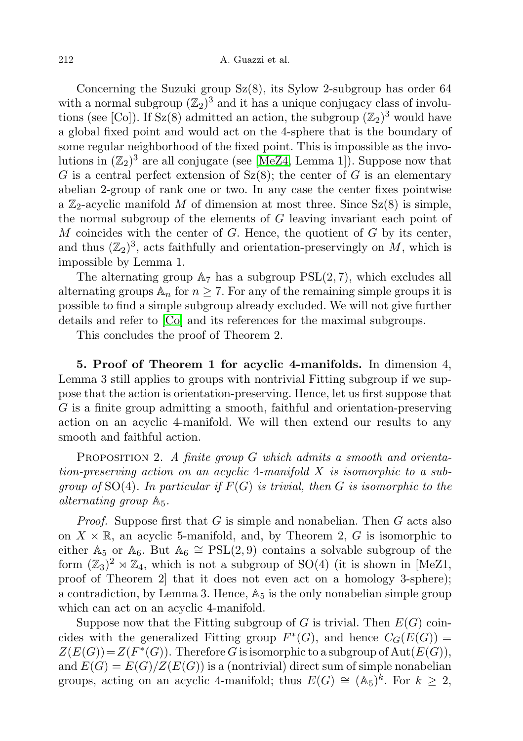Concerning the Suzuki group  $Sz(8)$ , its Sylow 2-subgroup has order 64 with a normal subgroup  $(\mathbb{Z}_2)^3$  and it has a unique conjugacy class of involutions (see [Co]). If  $Sz(8)$  admitted an action, the subgroup  $(\mathbb{Z}_2)^3$  would have a global fixed point and would act on the 4-sphere that is the boundary of some regular neighborhood of the fixed point. This is impossible as the involutions in  $(\mathbb{Z}_2)^3$  are all conjugate (see [\[MeZ4,](#page-14-2) Lemma 1]). Suppose now that G is a central perfect extension of  $Sz(8)$ ; the center of G is an elementary abelian 2-group of rank one or two. In any case the center fixes pointwise a  $\mathbb{Z}_2$ -acyclic manifold M of dimension at most three. Since  $Sz(8)$  is simple, the normal subgroup of the elements of G leaving invariant each point of  $M$  coincides with the center of  $G$ . Hence, the quotient of  $G$  by its center, and thus  $(\mathbb{Z}_2)^3$ , acts faithfully and orientation-preservingly on M, which is impossible by Lemma 1.

The alternating group  $A_7$  has a subgroup  $PSL(2, 7)$ , which excludes all alternating groups  $\mathbb{A}_n$  for  $n \geq 7$ . For any of the remaining simple groups it is possible to find a simple subgroup already excluded. We will not give further details and refer to [\[Co\]](#page-13-5) and its references for the maximal subgroups.

This concludes the proof of Theorem 2.

5. Proof of Theorem 1 for acyclic 4-manifolds. In dimension 4, Lemma 3 still applies to groups with nontrivial Fitting subgroup if we suppose that the action is orientation-preserving. Hence, let us first suppose that G is a finite group admitting a smooth, faithful and orientation-preserving action on an acyclic 4-manifold. We will then extend our results to any smooth and faithful action.

**PROPOSITION 2.** A finite group  $G$  which admits a smooth and orientation-preserving action on an acyclic 4-manifold X is isomorphic to a subgroup of  $SO(4)$ . In particular if  $F(G)$  is trivial, then G is isomorphic to the alternating group A5.

*Proof.* Suppose first that G is simple and nonabelian. Then G acts also on  $X \times \mathbb{R}$ , an acyclic 5-manifold, and, by Theorem 2, G is isomorphic to either  $\mathbb{A}_5$  or  $\mathbb{A}_6$ . But  $\mathbb{A}_6 \cong \text{PSL}(2, 9)$  contains a solvable subgroup of the form  $(\mathbb{Z}_3)^2 \rtimes \mathbb{Z}_4$ , which is not a subgroup of SO(4) (it is shown in [MeZ1, proof of Theorem 2] that it does not even act on a homology 3-sphere); a contradiction, by Lemma 3. Hence,  $\mathbb{A}_5$  is the only nonabelian simple group which can act on an acyclic 4-manifold.

Suppose now that the Fitting subgroup of G is trivial. Then  $E(G)$  coincides with the generalized Fitting group  $F^*(G)$ , and hence  $C_G(E(G))$  $Z(E(G)) = Z(F^*(G))$ . Therefore G is isomorphic to a subgroup of  $Aut(E(G)),$ and  $E(G) = E(G)/Z(E(G))$  is a (nontrivial) direct sum of simple nonabelian groups, acting on an acyclic 4-manifold; thus  $E(G) \cong (A_5)^k$ . For  $k \geq 2$ ,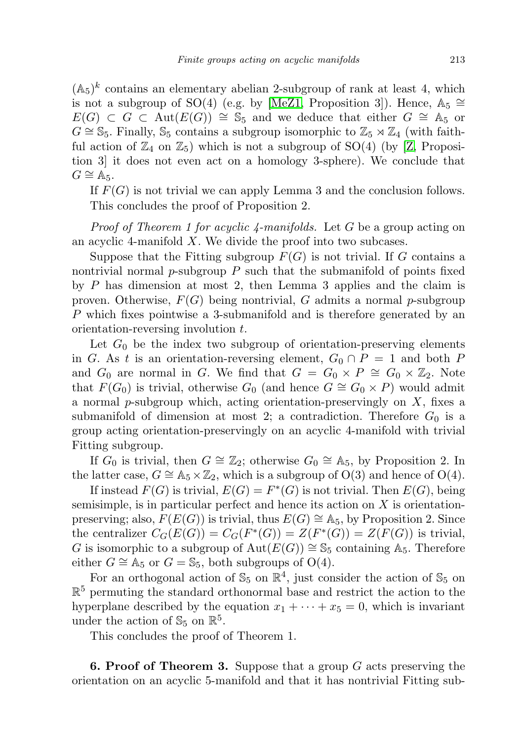$(\mathbb{A}_5)^k$  contains an elementary abelian 2-subgroup of rank at least 4, which is not a subgroup of SO(4) (e.g. by [\[MeZ1,](#page-13-0) Proposition 3]). Hence,  $\mathbb{A}_5 \cong$  $E(G) \subset G \subset \text{Aut}(E(G)) \cong \mathbb{S}_5$  and we deduce that either  $G \cong \mathbb{A}_5$  or  $G \cong \mathbb{S}_5$ . Finally,  $\mathbb{S}_5$  contains a subgroup isomorphic to  $\mathbb{Z}_5 \rtimes \mathbb{Z}_4$  (with faithful action of  $\mathbb{Z}_4$  on  $\mathbb{Z}_5$ ) which is not a subgroup of SO(4) (by [\[Z,](#page-14-0) Proposition 3] it does not even act on a homology 3-sphere). We conclude that  $G \cong \mathbb{A}_5$ .

If  $F(G)$  is not trivial we can apply Lemma 3 and the conclusion follows. This concludes the proof of Proposition 2.

Proof of Theorem 1 for acyclic 4-manifolds. Let G be a group acting on an acyclic 4-manifold  $X$ . We divide the proof into two subcases.

Suppose that the Fitting subgroup  $F(G)$  is not trivial. If G contains a nontrivial normal  $p$ -subgroup  $P$  such that the submanifold of points fixed by P has dimension at most 2, then Lemma 3 applies and the claim is proven. Otherwise,  $F(G)$  being nontrivial, G admits a normal p-subgroup P which fixes pointwise a 3-submanifold and is therefore generated by an orientation-reversing involution t.

Let  $G_0$  be the index two subgroup of orientation-preserving elements in G. As t is an orientation-reversing element,  $G_0 \cap P = 1$  and both P and  $G_0$  are normal in G. We find that  $G = G_0 \times P \cong G_0 \times \mathbb{Z}_2$ . Note that  $F(G_0)$  is trivial, otherwise  $G_0$  (and hence  $G \cong G_0 \times P$ ) would admit a normal  $p$ -subgroup which, acting orientation-preservingly on  $X$ , fixes a submanifold of dimension at most 2; a contradiction. Therefore  $G_0$  is a group acting orientation-preservingly on an acyclic 4-manifold with trivial Fitting subgroup.

If  $G_0$  is trivial, then  $G \cong \mathbb{Z}_2$ ; otherwise  $G_0 \cong \mathbb{A}_5$ , by Proposition 2. In the latter case,  $G \cong \mathbb{A}_5 \times \mathbb{Z}_2$ , which is a subgroup of  $O(3)$  and hence of  $O(4)$ .

If instead  $F(G)$  is trivial,  $E(G) = F^*(G)$  is not trivial. Then  $E(G)$ , being semisimple, is in particular perfect and hence its action on X is orientationpreserving; also,  $F(E(G))$  is trivial, thus  $E(G) \cong \mathbb{A}_5$ , by Proposition 2. Since the centralizer  $C_G(E(G)) = C_G(F^*(G)) = Z(F^*(G)) = Z(F(G))$  is trivial, G is isomorphic to a subgroup of  $Aut(E(G)) \cong \mathbb{S}_5$  containing A<sub>5</sub>. Therefore either  $G \cong \mathbb{A}_5$  or  $G = \mathbb{S}_5$ , both subgroups of O(4).

For an orthogonal action of  $\mathbb{S}_5$  on  $\mathbb{R}^4$ , just consider the action of  $\mathbb{S}_5$  on  $\mathbb{R}^5$  permuting the standard orthonormal base and restrict the action to the hyperplane described by the equation  $x_1 + \cdots + x_5 = 0$ , which is invariant under the action of  $\mathbb{S}_5$  on  $\mathbb{R}^5$ .

This concludes the proof of Theorem 1.

**6. Proof of Theorem 3.** Suppose that a group  $G$  acts preserving the orientation on an acyclic 5-manifold and that it has nontrivial Fitting sub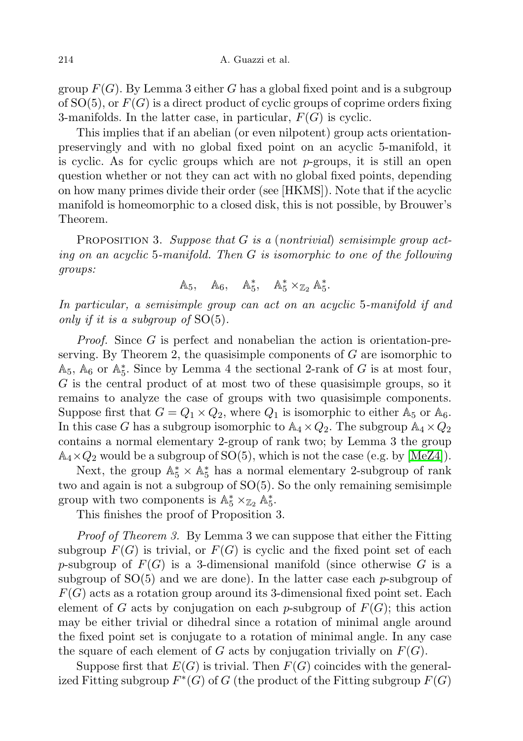group  $F(G)$ . By Lemma 3 either G has a global fixed point and is a subgroup of  $SO(5)$ , or  $F(G)$  is a direct product of cyclic groups of coprime orders fixing 3-manifolds. In the latter case, in particular,  $F(G)$  is cyclic.

This implies that if an abelian (or even nilpotent) group acts orientationpreservingly and with no global fixed point on an acyclic 5-manifold, it is cyclic. As for cyclic groups which are not  $p$ -groups, it is still an open question whether or not they can act with no global fixed points, depending on how many primes divide their order (see [HKMS]). Note that if the acyclic manifold is homeomorphic to a closed disk, this is not possible, by Brouwer's Theorem.

PROPOSITION 3. Suppose that  $G$  is a (nontrivial) semisimple group acting on an acyclic 5-manifold. Then G is isomorphic to one of the following groups:

$$
\mathbb{A}_5, \quad \mathbb{A}_6, \quad \mathbb{A}_5^*, \quad \mathbb{A}_5^* \times_{\mathbb{Z}_2} \mathbb{A}_5^*.
$$

In particular, a semisimple group can act on an acyclic 5-manifold if and only if it is a subgroup of  $SO(5)$ .

Proof. Since G is perfect and nonabelian the action is orientation-preserving. By Theorem 2, the quasisimple components of  $G$  are isomorphic to  $\mathbb{A}_5$ ,  $\mathbb{A}_6$  or  $\mathbb{A}_5^*$ . Since by Lemma 4 the sectional 2-rank of G is at most four, G is the central product of at most two of these quasisimple groups, so it remains to analyze the case of groups with two quasisimple components. Suppose first that  $G = Q_1 \times Q_2$ , where  $Q_1$  is isomorphic to either  $\mathbb{A}_5$  or  $\mathbb{A}_6$ . In this case G has a subgroup isomorphic to  $\mathbb{A}_4 \times Q_2$ . The subgroup  $\mathbb{A}_4 \times Q_2$ contains a normal elementary 2-group of rank two; by Lemma 3 the group  $\mathbb{A}_4 \times Q_2$  would be a subgroup of SO(5), which is not the case (e.g. by [\[MeZ4\]](#page-14-2)).

Next, the group  $\mathbb{A}_5^* \times \mathbb{A}_5^*$  has a normal elementary 2-subgroup of rank two and again is not a subgroup of SO(5). So the only remaining semisimple group with two components is  $\mathbb{A}_5^* \times_{\mathbb{Z}_2} \mathbb{A}_5^*$ .

This finishes the proof of Proposition 3.

Proof of Theorem 3. By Lemma 3 we can suppose that either the Fitting subgroup  $F(G)$  is trivial, or  $F(G)$  is cyclic and the fixed point set of each p-subgroup of  $F(G)$  is a 3-dimensional manifold (since otherwise G is a subgroup of  $SO(5)$  and we are done). In the latter case each p-subgroup of  $F(G)$  acts as a rotation group around its 3-dimensional fixed point set. Each element of G acts by conjugation on each p-subgroup of  $F(G)$ ; this action may be either trivial or dihedral since a rotation of minimal angle around the fixed point set is conjugate to a rotation of minimal angle. In any case the square of each element of G acts by conjugation trivially on  $F(G)$ .

Suppose first that  $E(G)$  is trivial. Then  $F(G)$  coincides with the generalized Fitting subgroup  $F^*(G)$  of G (the product of the Fitting subgroup  $F(G)$ )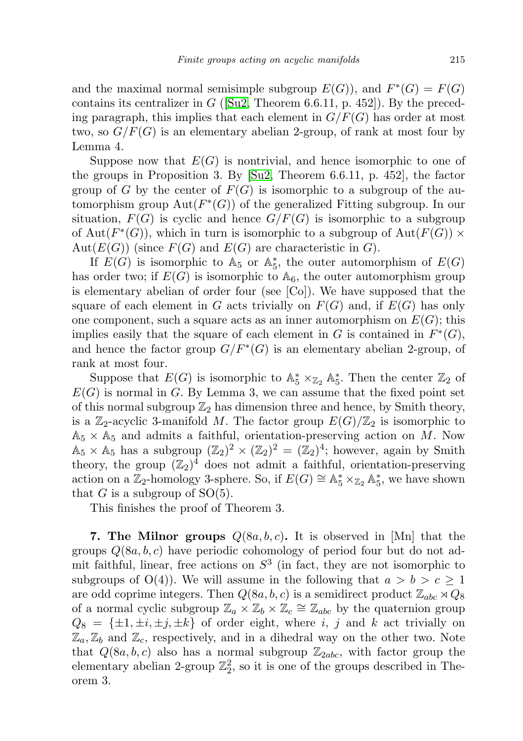and the maximal normal semisimple subgroup  $E(G)$ , and  $F^*(G) = F(G)$ contains its centralizer in  $G$  ([\[Su2,](#page-14-4) Theorem 6.6.11, p. 452]). By the preceding paragraph, this implies that each element in  $G/F(G)$  has order at most two, so  $G/F(G)$  is an elementary abelian 2-group, of rank at most four by Lemma 4.

Suppose now that  $E(G)$  is nontrivial, and hence isomorphic to one of the groups in Proposition 3. By [\[Su2,](#page-14-4) Theorem 6.6.11, p. 452], the factor group of G by the center of  $F(G)$  is isomorphic to a subgroup of the automorphism group  $Aut(F^*(G))$  of the generalized Fitting subgroup. In our situation,  $F(G)$  is cyclic and hence  $G/F(G)$  is isomorphic to a subgroup of Aut $(F^*(G))$ , which in turn is isomorphic to a subgroup of Aut $(F(G)) \times$  $Aut(E(G))$  (since  $F(G)$  and  $E(G)$  are characteristic in G).

If  $E(G)$  is isomorphic to  $\mathbb{A}_5$  or  $\mathbb{A}_5^*$ , the outer automorphism of  $E(G)$ has order two; if  $E(G)$  is isomorphic to  $\mathbb{A}_6$ , the outer automorphism group is elementary abelian of order four (see [Co]). We have supposed that the square of each element in G acts trivially on  $F(G)$  and, if  $E(G)$  has only one component, such a square acts as an inner automorphism on  $E(G)$ ; this implies easily that the square of each element in G is contained in  $F^*(G)$ , and hence the factor group  $G/F^*(G)$  is an elementary abelian 2-group, of rank at most four.

Suppose that  $E(G)$  is isomorphic to  $\mathbb{A}_5^* \times_{\mathbb{Z}_2} \mathbb{A}_5^*$ . Then the center  $\mathbb{Z}_2$  of  $E(G)$  is normal in G. By Lemma 3, we can assume that the fixed point set of this normal subgroup  $\mathbb{Z}_2$  has dimension three and hence, by Smith theory, is a  $\mathbb{Z}_2$ -acyclic 3-manifold M. The factor group  $E(G)/\mathbb{Z}_2$  is isomorphic to  $\mathbb{A}_5 \times \mathbb{A}_5$  and admits a faithful, orientation-preserving action on M. Now  $\mathbb{A}_5 \times \mathbb{A}_5$  has a subgroup  $(\mathbb{Z}_2)^2 \times (\mathbb{Z}_2)^2 = (\mathbb{Z}_2)^4$ ; however, again by Smith theory, the group  $(\mathbb{Z}_2)^4$  does not admit a faithful, orientation-preserving action on a  $\mathbb{Z}_2$ -homology 3-sphere. So, if  $E(G) \cong \mathbb{A}_5^* \times_{\mathbb{Z}_2} \mathbb{A}_5^*$ , we have shown that G is a subgroup of  $SO(5)$ .

This finishes the proof of Theorem 3.

**7. The Milnor groups**  $Q(8a, b, c)$ . It is observed in [Mn] that the groups  $Q(8a, b, c)$  have periodic cohomology of period four but do not admit faithful, linear, free actions on  $S<sup>3</sup>$  (in fact, they are not isomorphic to subgroups of  $O(4)$ . We will assume in the following that  $a > b > c \ge 1$ are odd coprime integers. Then  $Q(8a, b, c)$  is a semidirect product  $\mathbb{Z}_{abc} \rtimes Q_8$ of a normal cyclic subgroup  $\mathbb{Z}_a \times \mathbb{Z}_b \times \mathbb{Z}_c \cong \mathbb{Z}_{abc}$  by the quaternion group  $Q_8 = {\pm 1, \pm i, \pm j, \pm k}$  of order eight, where i, j and k act trivially on  $\mathbb{Z}_a, \mathbb{Z}_b$  and  $\mathbb{Z}_c$ , respectively, and in a dihedral way on the other two. Note that  $Q(8a, b, c)$  also has a normal subgroup  $\mathbb{Z}_{2abc}$ , with factor group the elementary abelian 2-group  $\mathbb{Z}_2^2$ , so it is one of the groups described in Theorem 3.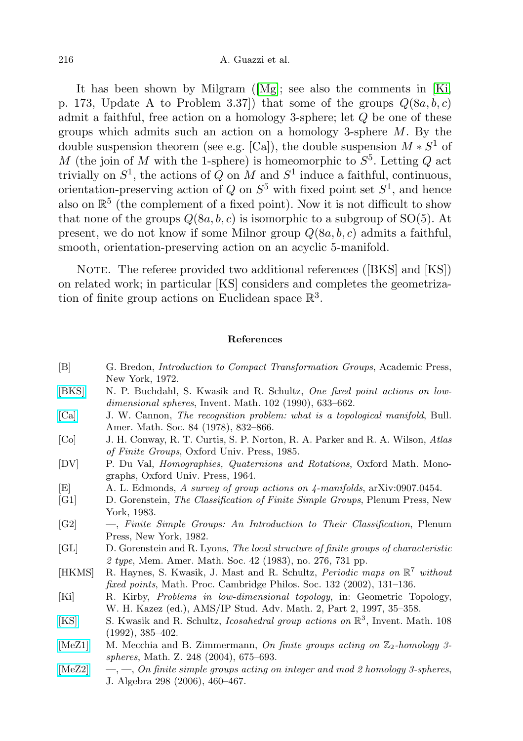It has been shown by Milgram ([\[Mg\]](#page-14-7); see also the comments in [\[Ki,](#page-13-8) p. 173, Update A to Problem 3.37) that some of the groups  $Q(8a, b, c)$ admit a faithful, free action on a homology 3-sphere; let Q be one of these groups which admits such an action on a homology 3-sphere  $M$ . By the double suspension theorem (see e.g. [Ca]), the double suspension  $M * S<sup>1</sup>$  of M (the join of M with the 1-sphere) is homeomorphic to  $S^5$ . Letting Q act trivially on  $S^1$ , the actions of Q on M and  $S^1$  induce a faithful, continuous, orientation-preserving action of  $Q$  on  $S^5$  with fixed point set  $S^1$ , and hence also on  $\mathbb{R}^5$  (the complement of a fixed point). Now it is not difficult to show that none of the groups  $Q(8a, b, c)$  is isomorphic to a subgroup of SO(5). At present, we do not know if some Milnor group  $Q(8a, b, c)$  admits a faithful, smooth, orientation-preserving action on an acyclic 5-manifold.

NOTE. The referee provided two additional references ([BKS] and [KS]) on related work; in particular [KS] considers and completes the geometrization of finite group actions on Euclidean space  $\mathbb{R}^3$ .

## References

<span id="page-13-8"></span><span id="page-13-7"></span><span id="page-13-6"></span><span id="page-13-5"></span><span id="page-13-4"></span><span id="page-13-3"></span><span id="page-13-2"></span><span id="page-13-1"></span><span id="page-13-0"></span>[B] G. Bredon, Introduction to Compact Transformation Groups, Academic Press, New York, 1972. [\[BKS\]](http://dx.doi.org/10.1007/BF01233442) N. P. Buchdahl, S. Kwasik and R. Schultz, One fixed point actions on lowdimensional spheres, Invent. Math. 102 (1990), 633-662. [\[Ca\]](http://dx.doi.org/10.1090/S0002-9904-1978-14527-3) J. W. Cannon, The recognition problem: what is a topological manifold, Bull. Amer. Math. Soc. 84 (1978), 832–866. [Co] J. H. Conway, R. T. Curtis, S. P. Norton, R. A. Parker and R. A. Wilson, Atlas of Finite Groups, Oxford Univ. Press, 1985. [DV] P. Du Val, Homographies, Quaternions and Rotations, Oxford Math. Monographs, Oxford Univ. Press, 1964. [E] A. L. Edmonds, A survey of group actions on 4-manifolds, arXiv:0907.0454. [G1] D. Gorenstein, The Classification of Finite Simple Groups, Plenum Press, New York, 1983. [G2] —, Finite Simple Groups: An Introduction to Their Classification, Plenum Press, New York, 1982. [GL] D. Gorenstein and R. Lyons, The local structure of finite groups of characteristic 2 type, Mem. Amer. Math. Soc. 42 (1983), no. 276, 731 pp. [HKMS] R. Haynes, S. Kwasik, J. Mast and R. Schultz, *Periodic maps on*  $\mathbb{R}^7$  without fixed points, Math. Proc. Cambridge Philos. Soc. 132 (2002), 131–136. [Ki] R. Kirby, Problems in low-dimensional topology, in: Geometric Topology, W. H. Kazez (ed.), AMS/IP Stud. Adv. Math. 2, Part 2, 1997, 35–358. [\[KS\]](http://dx.doi.org/10.1007/BF02100611) S. Kwasik and R. Schultz, *Icosahedral group actions on*  $\mathbb{R}^3$ , Invent. Math. 108 (1992), 385–402. [\[MeZ1\]](http://dx.doi.org/10.1007/s00209-004-0672-x) M. Mecchia and B. Zimmermann, On finite groups acting on  $\mathbb{Z}_2$ -homology 3spheres, Math. Z. 248 (2004), 675–693.  $[MeZ2] \quad -, [MeZ2] \quad -,-$ , On finite simple groups acting on integer and mod 2 homology 3-spheres, J. Algebra 298 (2006), 460–467.